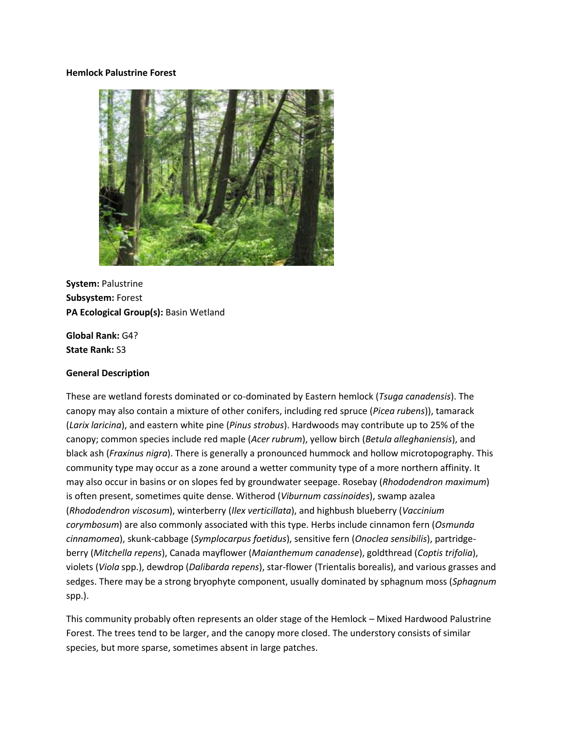#### **Hemlock Palustrine Forest**



**System:** Palustrine **Subsystem:** Forest **PA Ecological Group(s):** Basin Wetland

**Global Rank:** G4? **State Rank:** S3

#### **General Description**

These are wetland forests dominated or co-dominated by Eastern hemlock (*Tsuga canadensis*). The canopy may also contain a mixture of other conifers, including red spruce (*Picea rubens*)), tamarack (*Larix laricina*), and eastern white pine (*Pinus strobus*). Hardwoods may contribute up to 25% of the canopy; common species include red maple (*Acer rubrum*), yellow birch (*Betula alleghaniensis*), and black ash (*Fraxinus nigra*). There is generally a pronounced hummock and hollow microtopography. This community type may occur as a zone around a wetter community type of a more northern affinity. It may also occur in basins or on slopes fed by groundwater seepage. Rosebay (*Rhododendron maximum*) is often present, sometimes quite dense. Witherod (*Viburnum cassinoides*), swamp azalea (*Rhododendron viscosum*), winterberry (*Ilex verticillata*), and highbush blueberry (*Vaccinium corymbosum*) are also commonly associated with this type. Herbs include cinnamon fern (*Osmunda cinnamomea*), skunk-cabbage (*Symplocarpus foetidus*), sensitive fern (*Onoclea sensibilis*), partridgeberry (*Mitchella repens*), Canada mayflower (*Maianthemum canadense*), goldthread (*Coptis trifolia*), violets (*Viola* spp.), dewdrop (*Dalibarda repens*), star-flower (Trientalis borealis), and various grasses and sedges. There may be a strong bryophyte component, usually dominated by sphagnum moss (*Sphagnum* spp.).

This community probably often represents an older stage of the Hemlock – Mixed Hardwood Palustrine Forest. The trees tend to be larger, and the canopy more closed. The understory consists of similar species, but more sparse, sometimes absent in large patches.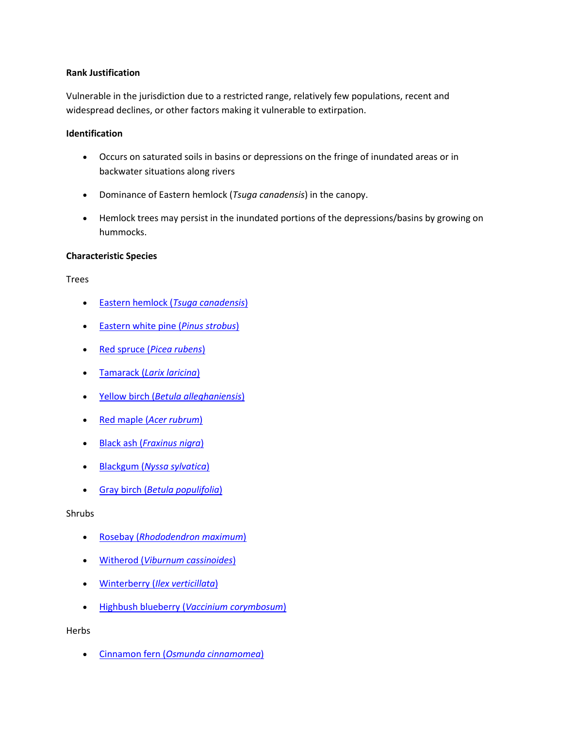## **Rank Justification**

Vulnerable in the jurisdiction due to a restricted range, relatively few populations, recent and widespread declines, or other factors making it vulnerable to extirpation.

## **Identification**

- Occurs on saturated soils in basins or depressions on the fringe of inundated areas or in backwater situations along rivers
- Dominance of Eastern hemlock (*Tsuga canadensis*) in the canopy.
- Hemlock trees may persist in the inundated portions of the depressions/basins by growing on hummocks.

# **Characteristic Species**

Trees

- [Eastern hemlock \(](http://www.natureserve.org/explorer/servlet/NatureServe?searchName=Tsuga+canadensis)*Tsuga canadensis*)
- [Eastern white pine \(](http://www.natureserve.org/explorer/servlet/NatureServe?searchName=Pinus+strobus)*Pinus strobus*)
- Red spruce (*[Picea rubens](http://www.natureserve.org/explorer/servlet/NatureServe?searchName=Picea+rubens)*)
- Tamarack (*[Larix laricina](http://www.natureserve.org/explorer/servlet/NatureServe?searchName=Larix+laricina)*)
- Yellow birch (*[Betula alleghaniensis](http://www.natureserve.org/explorer/servlet/NatureServe?searchName=Betula+alleghaniensis)*)
- Red maple (*[Acer rubrum](http://www.natureserve.org/explorer/servlet/NatureServe?searchName=Acer+rubrum)*)
- Black ash (*[Fraxinus nigra](http://www.natureserve.org/explorer/servlet/NatureServe?searchName=Fraxinus+nigra)*)
- Blackgum (*[Nyssa sylvatica](http://www.natureserve.org/explorer/servlet/NatureServe?searchName=Nyssa+sylvatica)*)
- Gray birch (*[Betula populifolia](http://www.natureserve.org/explorer/servlet/NatureServe?searchName=Betula+populifolia)*)

#### Shrubs

- Rosebay (*[Rhododendron maximum](http://www.natureserve.org/explorer/servlet/NatureServe?searchName=Rhododendron+maximum)*)
- Witherod (*[Viburnum cassinoides](http://www.natureserve.org/explorer/servlet/NatureServe?searchName=Viburnum+cassinoides)*)
- Winterberry (*[Ilex verticillata](http://www.natureserve.org/explorer/servlet/NatureServe?searchName=Ilex+verticillata)*)
- Highbush blueberry (*[Vaccinium corymbosum](http://www.natureserve.org/explorer/servlet/NatureServe?searchName=Vaccinium+corymbosum)*)

Herbs

Cinnamon fern (*[Osmunda cinnamomea](http://www.natureserve.org/explorer/servlet/NatureServe?searchName=Osmunda+cinnamomea)*)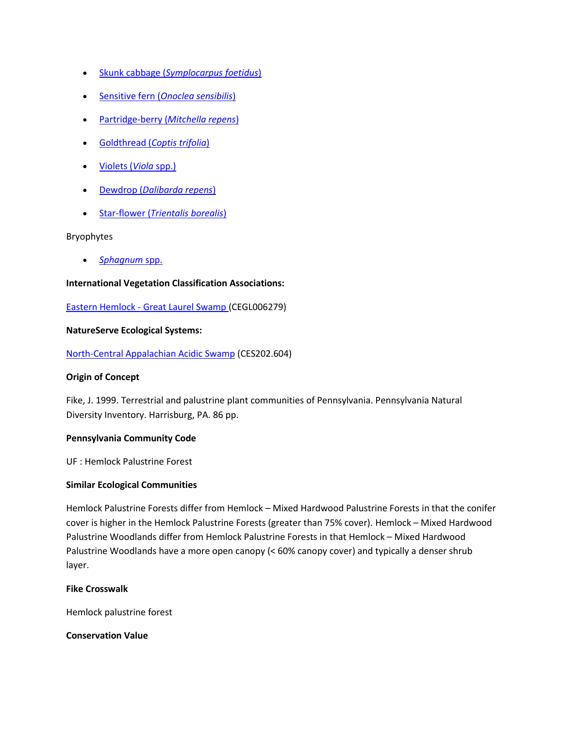- Skunk cabbage (*[Symplocarpus foetidus](http://www.natureserve.org/explorer/servlet/NatureServe?searchName=Symplocarpus+foetidus)*)
- Sensitive fern (*[Onoclea sensibilis](http://www.natureserve.org/explorer/servlet/NatureServe?searchName=Onoclea+sensibilis)*)
- [Partridge-berry \(](http://www.natureserve.org/explorer/servlet/NatureServe?searchName=Mitchella+repens)*Mitchella repens*)
- Goldthread (*[Coptis trifolia](http://www.natureserve.org/explorer/servlet/NatureServe?searchName=Coptis+trifolia)*)
- [Violets \(](http://www.natureserve.org/explorer/servlet/NatureServe?searchSciOrCommonName=viola)*Viola* spp.)
- Dewdrop (*[Dalibarda repens](http://www.natureserve.org/explorer/servlet/NatureServe?searchName=Dalibarda+repens)*)
- Star-flower (*[Trientalis borealis](http://www.natureserve.org/explorer/servlet/NatureServe?searchName=Trientalis+borealis)*)

## Bryophytes

*[Sphagnum](http://www.natureserve.org/explorer/servlet/NatureServe?searchSciOrCommonName=Sphagnum)* spp.

# **International Vegetation Classification Associations:**

Eastern Hemlock - [Great Laurel Swamp \(](http://www.natureserve.org/explorer/servlet/NatureServe?searchCommunityUid=ELEMENT_GLOBAL.2.688628)CEGL006279)

## **NatureServe Ecological Systems:**

[North-Central Appalachian Acidic Swamp](http://www.natureserve.org/explorer/servlet/NatureServe?searchSystemUid=ELEMENT_GLOBAL.2.723005) (CES202.604)

# **Origin of Concept**

Fike, J. 1999. Terrestrial and palustrine plant communities of Pennsylvania. Pennsylvania Natural Diversity Inventory. Harrisburg, PA. 86 pp.

# **Pennsylvania Community Code**

UF : Hemlock Palustrine Forest

#### **Similar Ecological Communities**

Hemlock Palustrine Forests differ from Hemlock – Mixed Hardwood Palustrine Forests in that the conifer cover is higher in the Hemlock Palustrine Forests (greater than 75% cover). Hemlock – Mixed Hardwood Palustrine Woodlands differ from Hemlock Palustrine Forests in that Hemlock – Mixed Hardwood Palustrine Woodlands have a more open canopy (< 60% canopy cover) and typically a denser shrub layer.

# **Fike Crosswalk**

Hemlock palustrine forest

**Conservation Value**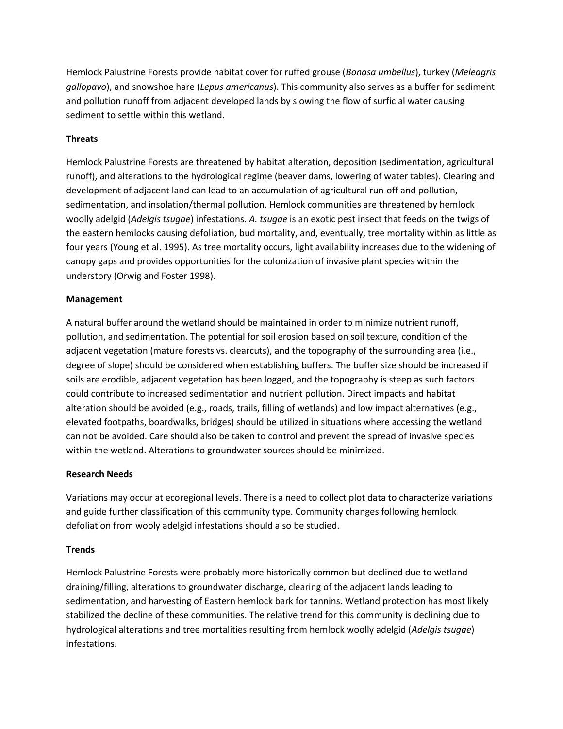Hemlock Palustrine Forests provide habitat cover for ruffed grouse (*Bonasa umbellus*), turkey (*Meleagris gallopavo*), and snowshoe hare (*Lepus americanus*). This community also serves as a buffer for sediment and pollution runoff from adjacent developed lands by slowing the flow of surficial water causing sediment to settle within this wetland.

# **Threats**

Hemlock Palustrine Forests are threatened by habitat alteration, deposition (sedimentation, agricultural runoff), and alterations to the hydrological regime (beaver dams, lowering of water tables). Clearing and development of adjacent land can lead to an accumulation of agricultural run-off and pollution, sedimentation, and insolation/thermal pollution. Hemlock communities are threatened by hemlock woolly adelgid (*Adelgis tsugae*) infestations. *A. tsugae* is an exotic pest insect that feeds on the twigs of the eastern hemlocks causing defoliation, bud mortality, and, eventually, tree mortality within as little as four years (Young et al. 1995). As tree mortality occurs, light availability increases due to the widening of canopy gaps and provides opportunities for the colonization of invasive plant species within the understory (Orwig and Foster 1998).

# **Management**

A natural buffer around the wetland should be maintained in order to minimize nutrient runoff, pollution, and sedimentation. The potential for soil erosion based on soil texture, condition of the adjacent vegetation (mature forests vs. clearcuts), and the topography of the surrounding area (i.e., degree of slope) should be considered when establishing buffers. The buffer size should be increased if soils are erodible, adjacent vegetation has been logged, and the topography is steep as such factors could contribute to increased sedimentation and nutrient pollution. Direct impacts and habitat alteration should be avoided (e.g., roads, trails, filling of wetlands) and low impact alternatives (e.g., elevated footpaths, boardwalks, bridges) should be utilized in situations where accessing the wetland can not be avoided. Care should also be taken to control and prevent the spread of invasive species within the wetland. Alterations to groundwater sources should be minimized.

# **Research Needs**

Variations may occur at ecoregional levels. There is a need to collect plot data to characterize variations and guide further classification of this community type. Community changes following hemlock defoliation from wooly adelgid infestations should also be studied.

# **Trends**

Hemlock Palustrine Forests were probably more historically common but declined due to wetland draining/filling, alterations to groundwater discharge, clearing of the adjacent lands leading to sedimentation, and harvesting of Eastern hemlock bark for tannins. Wetland protection has most likely stabilized the decline of these communities. The relative trend for this community is declining due to hydrological alterations and tree mortalities resulting from hemlock woolly adelgid (*Adelgis tsugae*) infestations.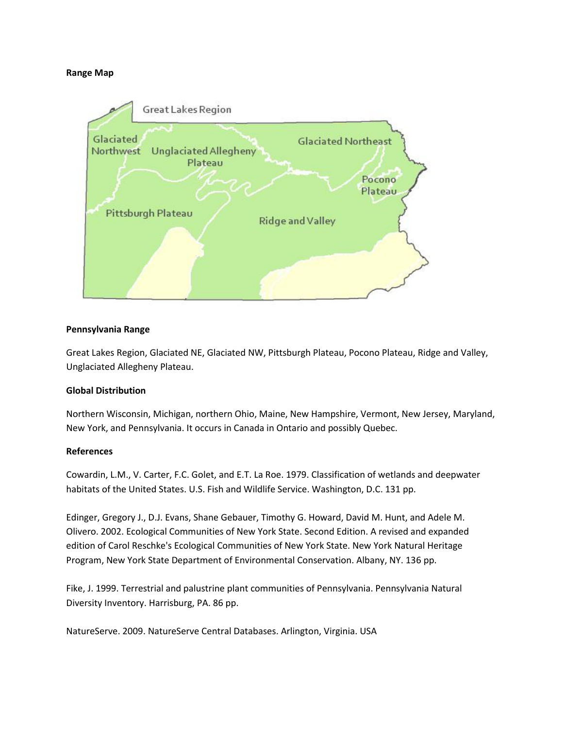## **Range Map**



## **Pennsylvania Range**

Great Lakes Region, Glaciated NE, Glaciated NW, Pittsburgh Plateau, Pocono Plateau, Ridge and Valley, Unglaciated Allegheny Plateau.

# **Global Distribution**

Northern Wisconsin, Michigan, northern Ohio, Maine, New Hampshire, Vermont, New Jersey, Maryland, New York, and Pennsylvania. It occurs in Canada in Ontario and possibly Quebec.

#### **References**

Cowardin, L.M., V. Carter, F.C. Golet, and E.T. La Roe. 1979. Classification of wetlands and deepwater habitats of the United States. U.S. Fish and Wildlife Service. Washington, D.C. 131 pp.

Edinger, Gregory J., D.J. Evans, Shane Gebauer, Timothy G. Howard, David M. Hunt, and Adele M. Olivero. 2002. Ecological Communities of New York State. Second Edition. A revised and expanded edition of Carol Reschke's Ecological Communities of New York State. New York Natural Heritage Program, New York State Department of Environmental Conservation. Albany, NY. 136 pp.

Fike, J. 1999. Terrestrial and palustrine plant communities of Pennsylvania. Pennsylvania Natural Diversity Inventory. Harrisburg, PA. 86 pp.

NatureServe. 2009. NatureServe Central Databases. Arlington, Virginia. USA